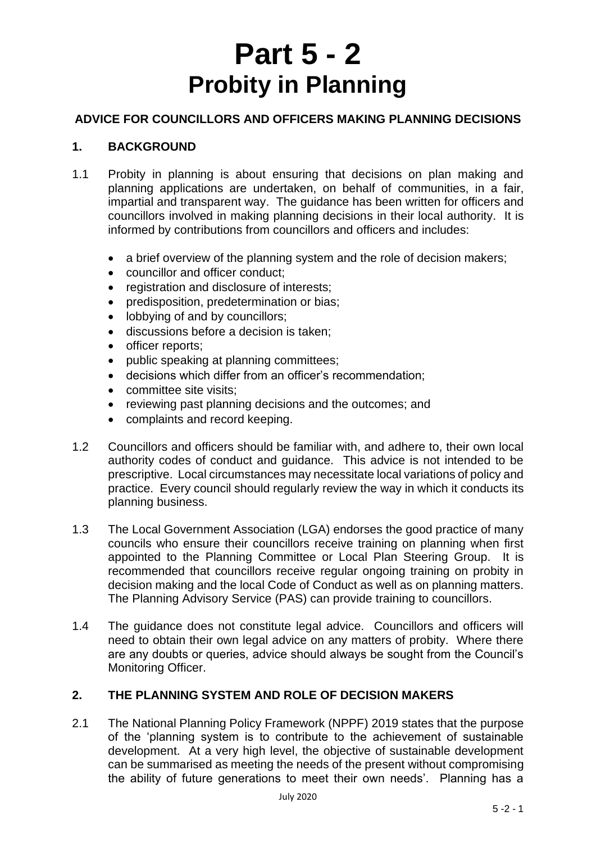# **Part 5 - 2 Probity in Planning**

## **ADVICE FOR COUNCILLORS AND OFFICERS MAKING PLANNING DECISIONS**

## **1. BACKGROUND**

- 1.1 Probity in planning is about ensuring that decisions on plan making and planning applications are undertaken, on behalf of communities, in a fair, impartial and transparent way. The guidance has been written for officers and councillors involved in making planning decisions in their local authority. It is informed by contributions from councillors and officers and includes:
	- a brief overview of the planning system and the role of decision makers:
	- councillor and officer conduct:
	- registration and disclosure of interests;
	- predisposition, predetermination or bias;
	- lobbying of and by councillors:
	- discussions before a decision is taken;
	- officer reports:
	- public speaking at planning committees;
	- decisions which differ from an officer's recommendation;
	- committee site visits:
	- reviewing past planning decisions and the outcomes; and
	- complaints and record keeping.
- 1.2 Councillors and officers should be familiar with, and adhere to, their own local authority codes of conduct and guidance. This advice is not intended to be prescriptive. Local circumstances may necessitate local variations of policy and practice. Every council should regularly review the way in which it conducts its planning business.
- 1.3 The Local Government Association (LGA) endorses the good practice of many councils who ensure their councillors receive training on planning when first appointed to the Planning Committee or Local Plan Steering Group. It is recommended that councillors receive regular ongoing training on probity in decision making and the local Code of Conduct as well as on planning matters. The Planning Advisory Service (PAS) can provide training to councillors.
- 1.4 The guidance does not constitute legal advice. Councillors and officers will need to obtain their own legal advice on any matters of probity. Where there are any doubts or queries, advice should always be sought from the Council's Monitoring Officer.

## **2. THE PLANNING SYSTEM AND ROLE OF DECISION MAKERS**

2.1 The National Planning Policy Framework (NPPF) 2019 states that the purpose of the 'planning system is to contribute to the achievement of sustainable development. At a very high level, the objective of sustainable development can be summarised as meeting the needs of the present without compromising the ability of future generations to meet their own needs'. Planning has a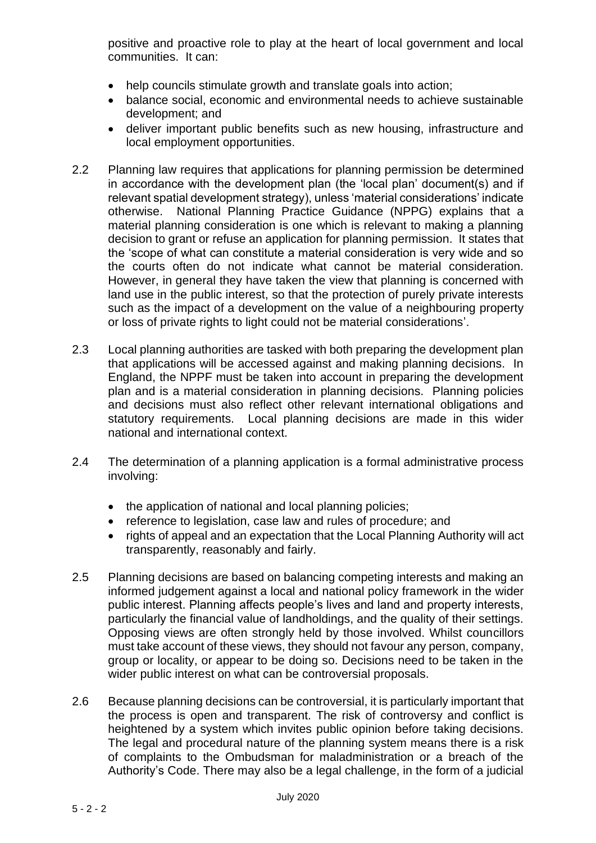positive and proactive role to play at the heart of local government and local communities. It can:

- help councils stimulate growth and translate goals into action:
- balance social, economic and environmental needs to achieve sustainable development; and
- deliver important public benefits such as new housing, infrastructure and local employment opportunities.
- 2.2 Planning law requires that applications for planning permission be determined in accordance with the development plan (the 'local plan' document(s) and if relevant spatial development strategy), unless 'material considerations' indicate otherwise. National Planning Practice Guidance (NPPG) explains that a material planning consideration is one which is relevant to making a planning decision to grant or refuse an application for planning permission. It states that the 'scope of what can constitute a material consideration is very wide and so the courts often do not indicate what cannot be material consideration. However, in general they have taken the view that planning is concerned with land use in the public interest, so that the protection of purely private interests such as the impact of a development on the value of a neighbouring property or loss of private rights to light could not be material considerations'.
- 2.3 Local planning authorities are tasked with both preparing the development plan that applications will be accessed against and making planning decisions. In England, the NPPF must be taken into account in preparing the development plan and is a material consideration in planning decisions. Planning policies and decisions must also reflect other relevant international obligations and statutory requirements. Local planning decisions are made in this wider national and international context.
- 2.4 The determination of a planning application is a formal administrative process involving:
	- the application of national and local planning policies;
	- reference to legislation, case law and rules of procedure; and
	- rights of appeal and an expectation that the Local Planning Authority will act transparently, reasonably and fairly.
- 2.5 Planning decisions are based on balancing competing interests and making an informed judgement against a local and national policy framework in the wider public interest. Planning affects people's lives and land and property interests, particularly the financial value of landholdings, and the quality of their settings. Opposing views are often strongly held by those involved. Whilst councillors must take account of these views, they should not favour any person, company, group or locality, or appear to be doing so. Decisions need to be taken in the wider public interest on what can be controversial proposals.
- 2.6 Because planning decisions can be controversial, it is particularly important that the process is open and transparent. The risk of controversy and conflict is heightened by a system which invites public opinion before taking decisions. The legal and procedural nature of the planning system means there is a risk of complaints to the Ombudsman for maladministration or a breach of the Authority's Code. There may also be a legal challenge, in the form of a judicial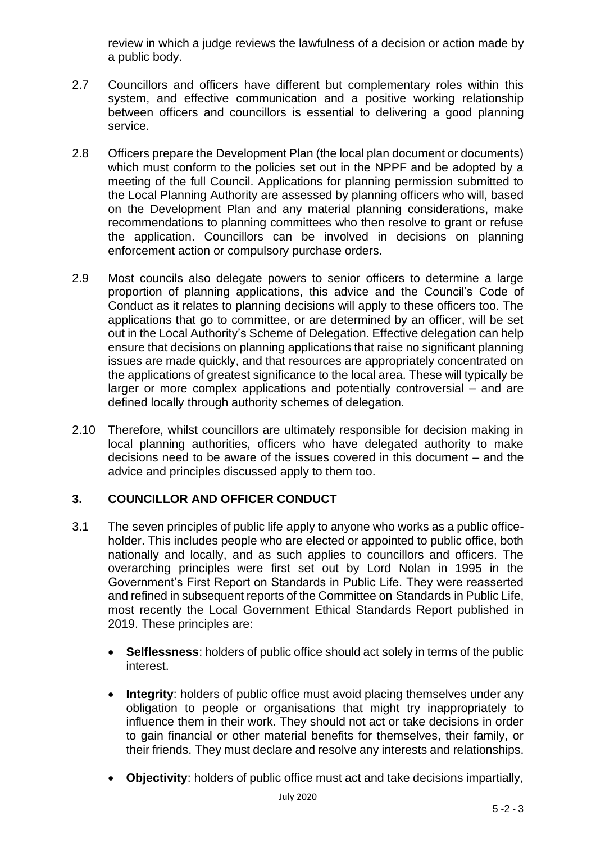review in which a judge reviews the lawfulness of a decision or action made by a public body.

- 2.7 Councillors and officers have different but complementary roles within this system, and effective communication and a positive working relationship between officers and councillors is essential to delivering a good planning service.
- 2.8 Officers prepare the Development Plan (the local plan document or documents) which must conform to the policies set out in the NPPF and be adopted by a meeting of the full Council. Applications for planning permission submitted to the Local Planning Authority are assessed by planning officers who will, based on the Development Plan and any material planning considerations, make recommendations to planning committees who then resolve to grant or refuse the application. Councillors can be involved in decisions on planning enforcement action or compulsory purchase orders.
- 2.9 Most councils also delegate powers to senior officers to determine a large proportion of planning applications, this advice and the Council's Code of Conduct as it relates to planning decisions will apply to these officers too. The applications that go to committee, or are determined by an officer, will be set out in the Local Authority's Scheme of Delegation. Effective delegation can help ensure that decisions on planning applications that raise no significant planning issues are made quickly, and that resources are appropriately concentrated on the applications of greatest significance to the local area. These will typically be larger or more complex applications and potentially controversial – and are defined locally through authority schemes of delegation.
- 2.10 Therefore, whilst councillors are ultimately responsible for decision making in local planning authorities, officers who have delegated authority to make decisions need to be aware of the issues covered in this document – and the advice and principles discussed apply to them too.

## **3. COUNCILLOR AND OFFICER CONDUCT**

- 3.1 The seven principles of public life apply to anyone who works as a public officeholder. This includes people who are elected or appointed to public office, both nationally and locally, and as such applies to councillors and officers. The overarching principles were first set out by Lord Nolan in 1995 in the Government's First Report on Standards in Public Life. They were reasserted and refined in subsequent reports of the Committee on Standards in Public Life, most recently the Local Government Ethical Standards Report published in 2019. These principles are:
	- **Selflessness**: holders of public office should act solely in terms of the public interest.
	- **Integrity**: holders of public office must avoid placing themselves under any obligation to people or organisations that might try inappropriately to influence them in their work. They should not act or take decisions in order to gain financial or other material benefits for themselves, their family, or their friends. They must declare and resolve any interests and relationships.
	- **Objectivity**: holders of public office must act and take decisions impartially,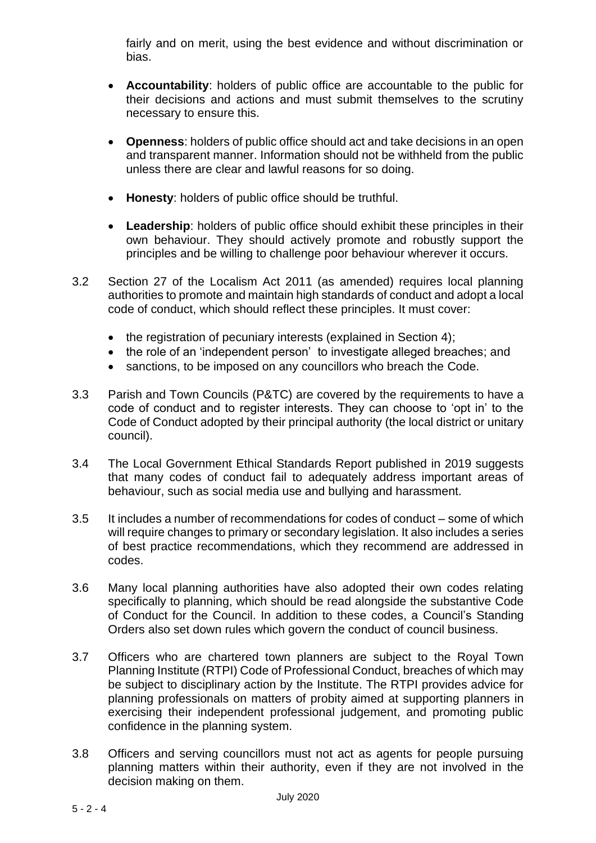fairly and on merit, using the best evidence and without discrimination or bias.

- **Accountability**: holders of public office are accountable to the public for their decisions and actions and must submit themselves to the scrutiny necessary to ensure this.
- **Openness**: holders of public office should act and take decisions in an open and transparent manner. Information should not be withheld from the public unless there are clear and lawful reasons for so doing.
- **Honesty**: holders of public office should be truthful.
- **Leadership**: holders of public office should exhibit these principles in their own behaviour. They should actively promote and robustly support the principles and be willing to challenge poor behaviour wherever it occurs.
- 3.2 Section 27 of the Localism Act 2011 (as amended) requires local planning authorities to promote and maintain high standards of conduct and adopt a local code of conduct, which should reflect these principles. It must cover:
	- the registration of pecuniary interests (explained in Section 4);
	- the role of an 'independent person' to investigate alleged breaches: and
	- sanctions, to be imposed on any councillors who breach the Code.
- 3.3 Parish and Town Councils (P&TC) are covered by the requirements to have a code of conduct and to register interests. They can choose to 'opt in' to the Code of Conduct adopted by their principal authority (the local district or unitary council).
- 3.4 The Local Government Ethical Standards Report published in 2019 suggests that many codes of conduct fail to adequately address important areas of behaviour, such as social media use and bullying and harassment.
- 3.5 It includes a number of recommendations for codes of conduct some of which will require changes to primary or secondary legislation. It also includes a series of best practice recommendations, which they recommend are addressed in codes.
- 3.6 Many local planning authorities have also adopted their own codes relating specifically to planning, which should be read alongside the substantive Code of Conduct for the Council. In addition to these codes, a Council's Standing Orders also set down rules which govern the conduct of council business.
- 3.7 Officers who are chartered town planners are subject to the Royal Town Planning Institute (RTPI) Code of Professional Conduct, breaches of which may be subject to disciplinary action by the Institute. The RTPI provides advice for planning professionals on matters of probity aimed at supporting planners in exercising their independent professional judgement, and promoting public confidence in the planning system.
- 3.8 Officers and serving councillors must not act as agents for people pursuing planning matters within their authority, even if they are not involved in the decision making on them.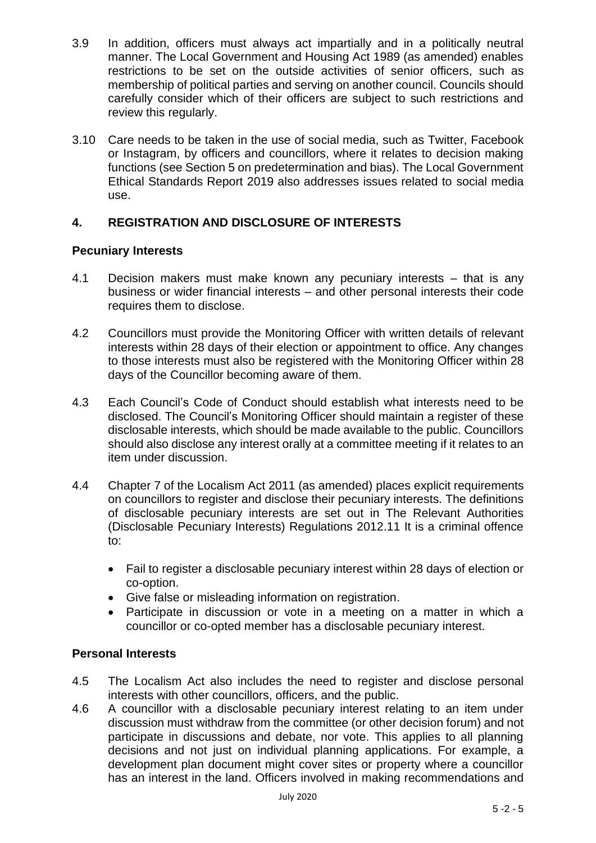- 3.9 In addition, officers must always act impartially and in a politically neutral manner. The Local Government and Housing Act 1989 (as amended) enables restrictions to be set on the outside activities of senior officers, such as membership of political parties and serving on another council. Councils should carefully consider which of their officers are subject to such restrictions and review this regularly.
- 3.10 Care needs to be taken in the use of social media, such as Twitter, Facebook or Instagram, by officers and councillors, where it relates to decision making functions (see Section 5 on predetermination and bias). The Local Government Ethical Standards Report 2019 also addresses issues related to social media use.

## **4. REGISTRATION AND DISCLOSURE OF INTERESTS**

### **Pecuniary Interests**

- 4.1 Decision makers must make known any pecuniary interests that is any business or wider financial interests – and other personal interests their code requires them to disclose.
- 4.2 Councillors must provide the Monitoring Officer with written details of relevant interests within 28 days of their election or appointment to office. Any changes to those interests must also be registered with the Monitoring Officer within 28 days of the Councillor becoming aware of them.
- 4.3 Each Council's Code of Conduct should establish what interests need to be disclosed. The Council's Monitoring Officer should maintain a register of these disclosable interests, which should be made available to the public. Councillors should also disclose any interest orally at a committee meeting if it relates to an item under discussion.
- 4.4 Chapter 7 of the Localism Act 2011 (as amended) places explicit requirements on councillors to register and disclose their pecuniary interests. The definitions of disclosable pecuniary interests are set out in The Relevant Authorities (Disclosable Pecuniary Interests) Regulations 2012.11 It is a criminal offence to:
	- Fail to register a disclosable pecuniary interest within 28 days of election or co-option.
	- Give false or misleading information on registration.
	- Participate in discussion or vote in a meeting on a matter in which a councillor or co-opted member has a disclosable pecuniary interest.

## **Personal Interests**

- 4.5 The Localism Act also includes the need to register and disclose personal interests with other councillors, officers, and the public.
- 4.6 A councillor with a disclosable pecuniary interest relating to an item under discussion must withdraw from the committee (or other decision forum) and not participate in discussions and debate, nor vote. This applies to all planning decisions and not just on individual planning applications. For example, a development plan document might cover sites or property where a councillor has an interest in the land. Officers involved in making recommendations and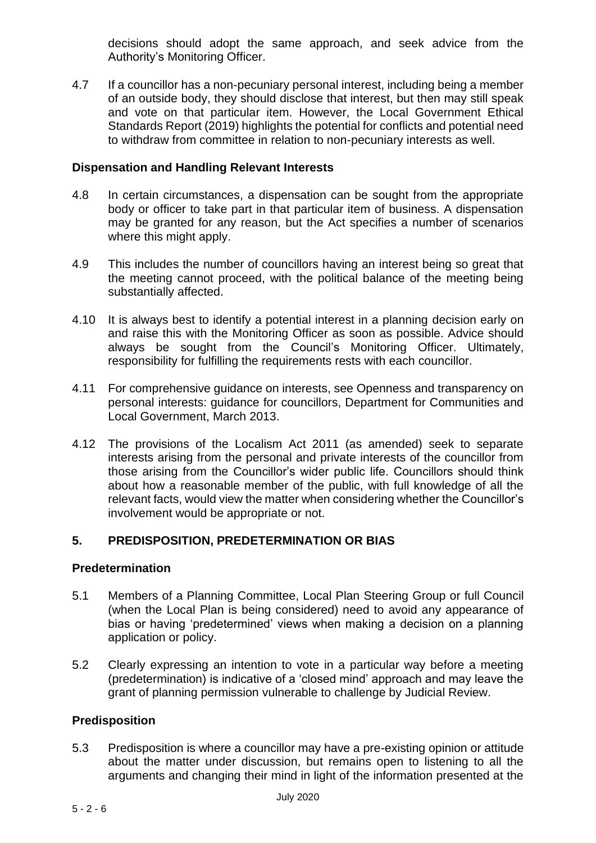decisions should adopt the same approach, and seek advice from the Authority's Monitoring Officer.

4.7 If a councillor has a non-pecuniary personal interest, including being a member of an outside body, they should disclose that interest, but then may still speak and vote on that particular item. However, the Local Government Ethical Standards Report (2019) highlights the potential for conflicts and potential need to withdraw from committee in relation to non-pecuniary interests as well.

#### **Dispensation and Handling Relevant Interests**

- 4.8 In certain circumstances, a dispensation can be sought from the appropriate body or officer to take part in that particular item of business. A dispensation may be granted for any reason, but the Act specifies a number of scenarios where this might apply.
- 4.9 This includes the number of councillors having an interest being so great that the meeting cannot proceed, with the political balance of the meeting being substantially affected.
- 4.10 It is always best to identify a potential interest in a planning decision early on and raise this with the Monitoring Officer as soon as possible. Advice should always be sought from the Council's Monitoring Officer. Ultimately, responsibility for fulfilling the requirements rests with each councillor.
- 4.11 For comprehensive guidance on interests, see Openness and transparency on personal interests: guidance for councillors, Department for Communities and Local Government, March 2013.
- 4.12 The provisions of the Localism Act 2011 (as amended) seek to separate interests arising from the personal and private interests of the councillor from those arising from the Councillor's wider public life. Councillors should think about how a reasonable member of the public, with full knowledge of all the relevant facts, would view the matter when considering whether the Councillor's involvement would be appropriate or not.

#### **5. PREDISPOSITION, PREDETERMINATION OR BIAS**

#### **Predetermination**

- 5.1 Members of a Planning Committee, Local Plan Steering Group or full Council (when the Local Plan is being considered) need to avoid any appearance of bias or having 'predetermined' views when making a decision on a planning application or policy.
- 5.2 Clearly expressing an intention to vote in a particular way before a meeting (predetermination) is indicative of a 'closed mind' approach and may leave the grant of planning permission vulnerable to challenge by Judicial Review.

#### **Predisposition**

5.3 Predisposition is where a councillor may have a pre-existing opinion or attitude about the matter under discussion, but remains open to listening to all the arguments and changing their mind in light of the information presented at the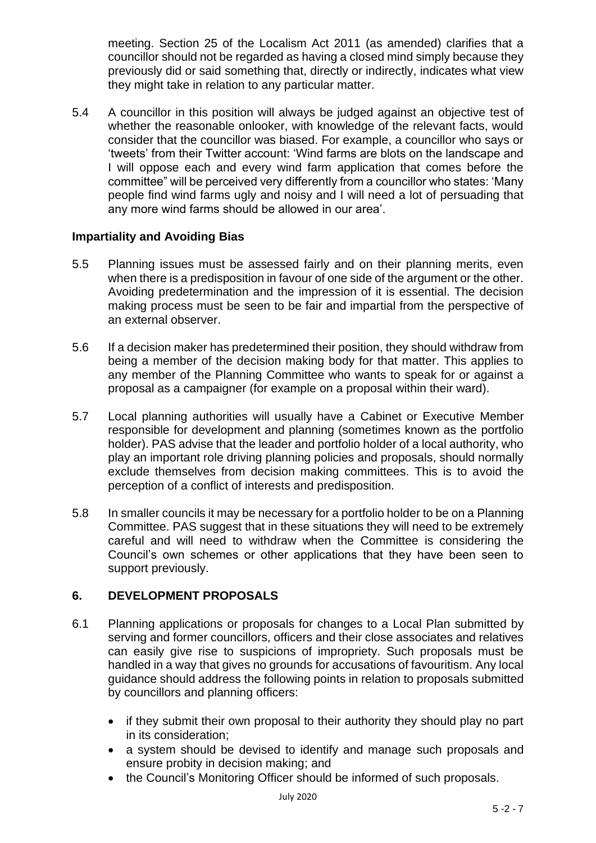meeting. Section 25 of the Localism Act 2011 (as amended) clarifies that a councillor should not be regarded as having a closed mind simply because they previously did or said something that, directly or indirectly, indicates what view they might take in relation to any particular matter.

5.4 A councillor in this position will always be judged against an objective test of whether the reasonable onlooker, with knowledge of the relevant facts, would consider that the councillor was biased. For example, a councillor who says or 'tweets' from their Twitter account: 'Wind farms are blots on the landscape and I will oppose each and every wind farm application that comes before the committee" will be perceived very differently from a councillor who states: 'Many people find wind farms ugly and noisy and I will need a lot of persuading that any more wind farms should be allowed in our area'.

### **Impartiality and Avoiding Bias**

- 5.5 Planning issues must be assessed fairly and on their planning merits, even when there is a predisposition in favour of one side of the argument or the other. Avoiding predetermination and the impression of it is essential. The decision making process must be seen to be fair and impartial from the perspective of an external observer.
- 5.6 If a decision maker has predetermined their position, they should withdraw from being a member of the decision making body for that matter. This applies to any member of the Planning Committee who wants to speak for or against a proposal as a campaigner (for example on a proposal within their ward).
- 5.7 Local planning authorities will usually have a Cabinet or Executive Member responsible for development and planning (sometimes known as the portfolio holder). PAS advise that the leader and portfolio holder of a local authority, who play an important role driving planning policies and proposals, should normally exclude themselves from decision making committees. This is to avoid the perception of a conflict of interests and predisposition.
- 5.8 In smaller councils it may be necessary for a portfolio holder to be on a Planning Committee. PAS suggest that in these situations they will need to be extremely careful and will need to withdraw when the Committee is considering the Council's own schemes or other applications that they have been seen to support previously.

## **6. DEVELOPMENT PROPOSALS**

- 6.1 Planning applications or proposals for changes to a Local Plan submitted by serving and former councillors, officers and their close associates and relatives can easily give rise to suspicions of impropriety. Such proposals must be handled in a way that gives no grounds for accusations of favouritism. Any local guidance should address the following points in relation to proposals submitted by councillors and planning officers:
	- if they submit their own proposal to their authority they should play no part in its consideration;
	- a system should be devised to identify and manage such proposals and ensure probity in decision making; and
	- the Council's Monitoring Officer should be informed of such proposals.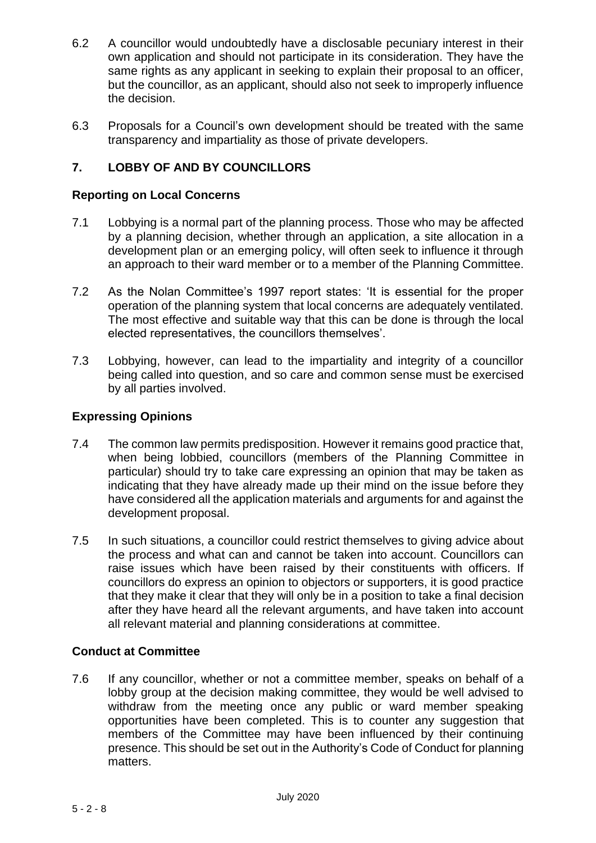- 6.2 A councillor would undoubtedly have a disclosable pecuniary interest in their own application and should not participate in its consideration. They have the same rights as any applicant in seeking to explain their proposal to an officer, but the councillor, as an applicant, should also not seek to improperly influence the decision.
- 6.3 Proposals for a Council's own development should be treated with the same transparency and impartiality as those of private developers.

## **7. LOBBY OF AND BY COUNCILLORS**

#### **Reporting on Local Concerns**

- 7.1 Lobbying is a normal part of the planning process. Those who may be affected by a planning decision, whether through an application, a site allocation in a development plan or an emerging policy, will often seek to influence it through an approach to their ward member or to a member of the Planning Committee.
- 7.2 As the Nolan Committee's 1997 report states: 'It is essential for the proper operation of the planning system that local concerns are adequately ventilated. The most effective and suitable way that this can be done is through the local elected representatives, the councillors themselves'.
- 7.3 Lobbying, however, can lead to the impartiality and integrity of a councillor being called into question, and so care and common sense must be exercised by all parties involved.

### **Expressing Opinions**

- 7.4 The common law permits predisposition. However it remains good practice that, when being lobbied, councillors (members of the Planning Committee in particular) should try to take care expressing an opinion that may be taken as indicating that they have already made up their mind on the issue before they have considered all the application materials and arguments for and against the development proposal.
- 7.5 In such situations, a councillor could restrict themselves to giving advice about the process and what can and cannot be taken into account. Councillors can raise issues which have been raised by their constituents with officers. If councillors do express an opinion to objectors or supporters, it is good practice that they make it clear that they will only be in a position to take a final decision after they have heard all the relevant arguments, and have taken into account all relevant material and planning considerations at committee.

#### **Conduct at Committee**

7.6 If any councillor, whether or not a committee member, speaks on behalf of a lobby group at the decision making committee, they would be well advised to withdraw from the meeting once any public or ward member speaking opportunities have been completed. This is to counter any suggestion that members of the Committee may have been influenced by their continuing presence. This should be set out in the Authority's Code of Conduct for planning matters.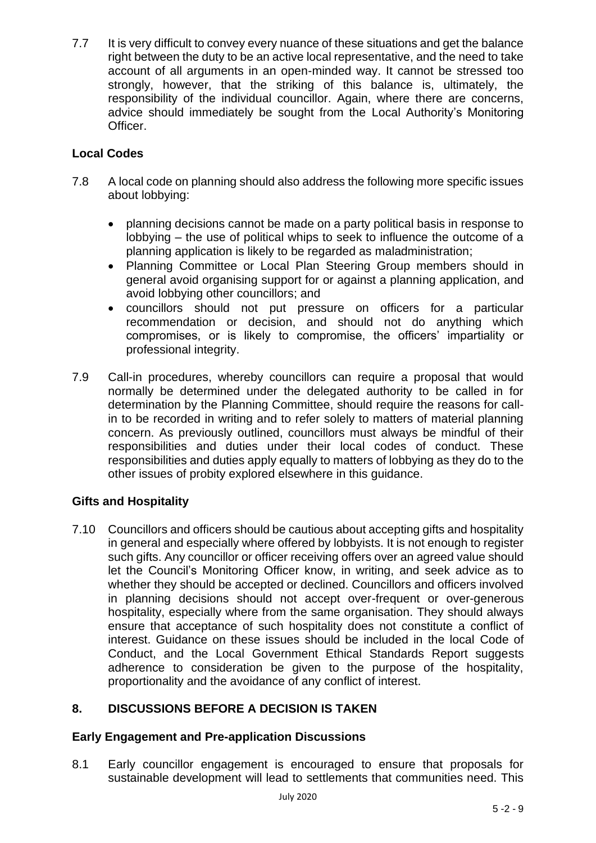7.7 It is very difficult to convey every nuance of these situations and get the balance right between the duty to be an active local representative, and the need to take account of all arguments in an open-minded way. It cannot be stressed too strongly, however, that the striking of this balance is, ultimately, the responsibility of the individual councillor. Again, where there are concerns, advice should immediately be sought from the Local Authority's Monitoring Officer.

## **Local Codes**

- 7.8 A local code on planning should also address the following more specific issues about lobbying:
	- planning decisions cannot be made on a party political basis in response to lobbying – the use of political whips to seek to influence the outcome of a planning application is likely to be regarded as maladministration;
	- Planning Committee or Local Plan Steering Group members should in general avoid organising support for or against a planning application, and avoid lobbying other councillors; and
	- councillors should not put pressure on officers for a particular recommendation or decision, and should not do anything which compromises, or is likely to compromise, the officers' impartiality or professional integrity.
- 7.9 Call-in procedures, whereby councillors can require a proposal that would normally be determined under the delegated authority to be called in for determination by the Planning Committee, should require the reasons for callin to be recorded in writing and to refer solely to matters of material planning concern. As previously outlined, councillors must always be mindful of their responsibilities and duties under their local codes of conduct. These responsibilities and duties apply equally to matters of lobbying as they do to the other issues of probity explored elsewhere in this guidance.

## **Gifts and Hospitality**

7.10 Councillors and officers should be cautious about accepting gifts and hospitality in general and especially where offered by lobbyists. It is not enough to register such gifts. Any councillor or officer receiving offers over an agreed value should let the Council's Monitoring Officer know, in writing, and seek advice as to whether they should be accepted or declined. Councillors and officers involved in planning decisions should not accept over-frequent or over-generous hospitality, especially where from the same organisation. They should always ensure that acceptance of such hospitality does not constitute a conflict of interest. Guidance on these issues should be included in the local Code of Conduct, and the Local Government Ethical Standards Report suggests adherence to consideration be given to the purpose of the hospitality, proportionality and the avoidance of any conflict of interest.

## **8. DISCUSSIONS BEFORE A DECISION IS TAKEN**

## **Early Engagement and Pre-application Discussions**

8.1 Early councillor engagement is encouraged to ensure that proposals for sustainable development will lead to settlements that communities need. This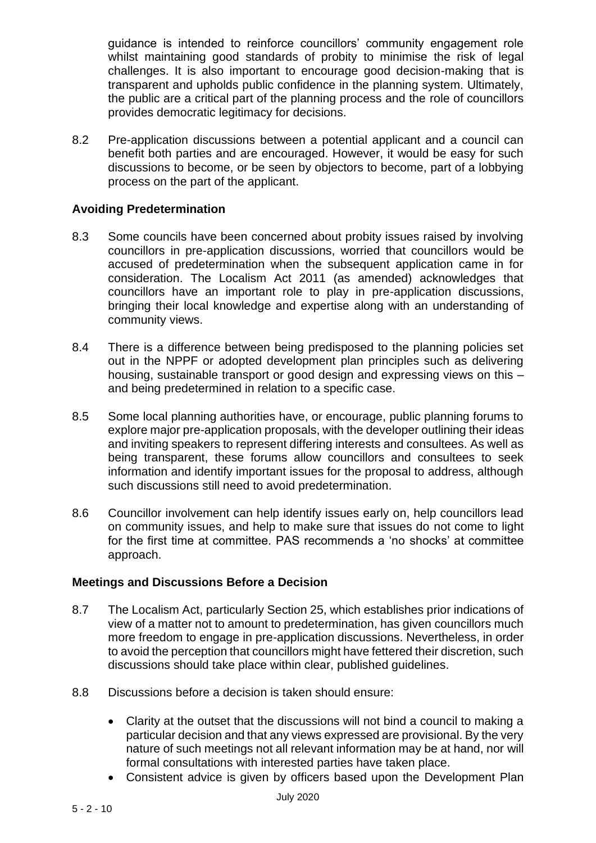guidance is intended to reinforce councillors' community engagement role whilst maintaining good standards of probity to minimise the risk of legal challenges. It is also important to encourage good decision-making that is transparent and upholds public confidence in the planning system. Ultimately, the public are a critical part of the planning process and the role of councillors provides democratic legitimacy for decisions.

8.2 Pre-application discussions between a potential applicant and a council can benefit both parties and are encouraged. However, it would be easy for such discussions to become, or be seen by objectors to become, part of a lobbying process on the part of the applicant.

### **Avoiding Predetermination**

- 8.3 Some councils have been concerned about probity issues raised by involving councillors in pre-application discussions, worried that councillors would be accused of predetermination when the subsequent application came in for consideration. The Localism Act 2011 (as amended) acknowledges that councillors have an important role to play in pre-application discussions, bringing their local knowledge and expertise along with an understanding of community views.
- 8.4 There is a difference between being predisposed to the planning policies set out in the NPPF or adopted development plan principles such as delivering housing, sustainable transport or good design and expressing views on this – and being predetermined in relation to a specific case.
- 8.5 Some local planning authorities have, or encourage, public planning forums to explore major pre-application proposals, with the developer outlining their ideas and inviting speakers to represent differing interests and consultees. As well as being transparent, these forums allow councillors and consultees to seek information and identify important issues for the proposal to address, although such discussions still need to avoid predetermination.
- 8.6 Councillor involvement can help identify issues early on, help councillors lead on community issues, and help to make sure that issues do not come to light for the first time at committee. PAS recommends a 'no shocks' at committee approach.

#### **Meetings and Discussions Before a Decision**

- 8.7 The Localism Act, particularly Section 25, which establishes prior indications of view of a matter not to amount to predetermination, has given councillors much more freedom to engage in pre-application discussions. Nevertheless, in order to avoid the perception that councillors might have fettered their discretion, such discussions should take place within clear, published guidelines.
- 8.8 Discussions before a decision is taken should ensure:
	- Clarity at the outset that the discussions will not bind a council to making a particular decision and that any views expressed are provisional. By the very nature of such meetings not all relevant information may be at hand, nor will formal consultations with interested parties have taken place.
	- Consistent advice is given by officers based upon the Development Plan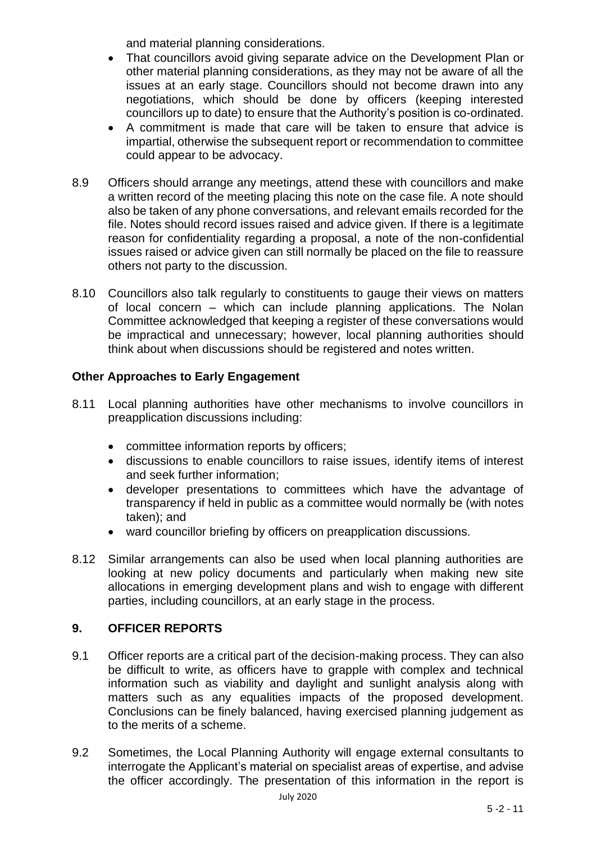and material planning considerations.

- That councillors avoid giving separate advice on the Development Plan or other material planning considerations, as they may not be aware of all the issues at an early stage. Councillors should not become drawn into any negotiations, which should be done by officers (keeping interested councillors up to date) to ensure that the Authority's position is co-ordinated.
- A commitment is made that care will be taken to ensure that advice is impartial, otherwise the subsequent report or recommendation to committee could appear to be advocacy.
- 8.9 Officers should arrange any meetings, attend these with councillors and make a written record of the meeting placing this note on the case file. A note should also be taken of any phone conversations, and relevant emails recorded for the file. Notes should record issues raised and advice given. If there is a legitimate reason for confidentiality regarding a proposal, a note of the non-confidential issues raised or advice given can still normally be placed on the file to reassure others not party to the discussion.
- 8.10 Councillors also talk regularly to constituents to gauge their views on matters of local concern – which can include planning applications. The Nolan Committee acknowledged that keeping a register of these conversations would be impractical and unnecessary; however, local planning authorities should think about when discussions should be registered and notes written.

## **Other Approaches to Early Engagement**

- 8.11 Local planning authorities have other mechanisms to involve councillors in preapplication discussions including:
	- committee information reports by officers;
	- discussions to enable councillors to raise issues, identify items of interest and seek further information;
	- developer presentations to committees which have the advantage of transparency if held in public as a committee would normally be (with notes taken); and
	- ward councillor briefing by officers on preapplication discussions.
- 8.12 Similar arrangements can also be used when local planning authorities are looking at new policy documents and particularly when making new site allocations in emerging development plans and wish to engage with different parties, including councillors, at an early stage in the process.

## **9. OFFICER REPORTS**

- 9.1 Officer reports are a critical part of the decision-making process. They can also be difficult to write, as officers have to grapple with complex and technical information such as viability and daylight and sunlight analysis along with matters such as any equalities impacts of the proposed development. Conclusions can be finely balanced, having exercised planning judgement as to the merits of a scheme.
- 9.2 Sometimes, the Local Planning Authority will engage external consultants to interrogate the Applicant's material on specialist areas of expertise, and advise the officer accordingly. The presentation of this information in the report is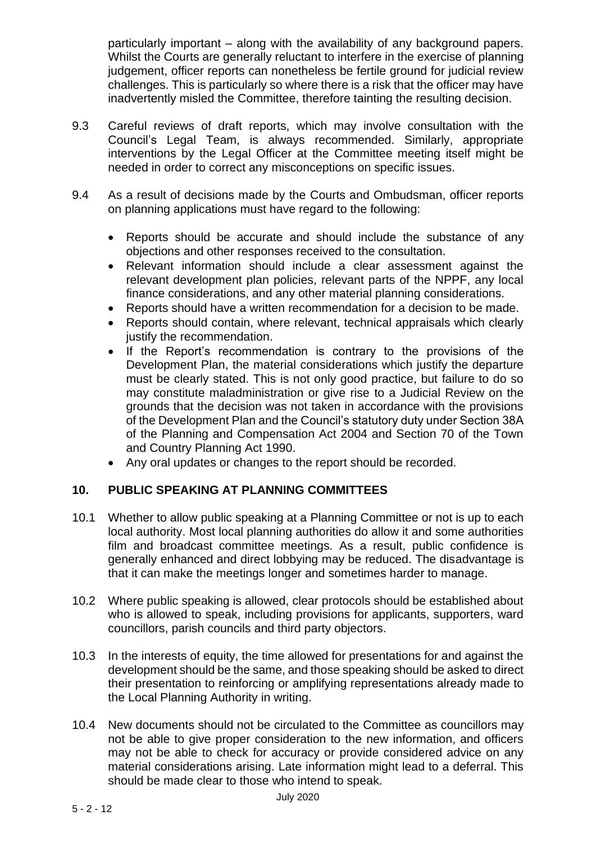particularly important – along with the availability of any background papers. Whilst the Courts are generally reluctant to interfere in the exercise of planning judgement, officer reports can nonetheless be fertile ground for judicial review challenges. This is particularly so where there is a risk that the officer may have inadvertently misled the Committee, therefore tainting the resulting decision.

- 9.3 Careful reviews of draft reports, which may involve consultation with the Council's Legal Team, is always recommended. Similarly, appropriate interventions by the Legal Officer at the Committee meeting itself might be needed in order to correct any misconceptions on specific issues.
- 9.4 As a result of decisions made by the Courts and Ombudsman, officer reports on planning applications must have regard to the following:
	- Reports should be accurate and should include the substance of any objections and other responses received to the consultation.
	- Relevant information should include a clear assessment against the relevant development plan policies, relevant parts of the NPPF, any local finance considerations, and any other material planning considerations.
	- Reports should have a written recommendation for a decision to be made.
	- Reports should contain, where relevant, technical appraisals which clearly justify the recommendation.
	- If the Report's recommendation is contrary to the provisions of the Development Plan, the material considerations which justify the departure must be clearly stated. This is not only good practice, but failure to do so may constitute maladministration or give rise to a Judicial Review on the grounds that the decision was not taken in accordance with the provisions of the Development Plan and the Council's statutory duty under Section 38A of the Planning and Compensation Act 2004 and Section 70 of the Town and Country Planning Act 1990.
	- Any oral updates or changes to the report should be recorded.

## **10. PUBLIC SPEAKING AT PLANNING COMMITTEES**

- 10.1 Whether to allow public speaking at a Planning Committee or not is up to each local authority. Most local planning authorities do allow it and some authorities film and broadcast committee meetings. As a result, public confidence is generally enhanced and direct lobbying may be reduced. The disadvantage is that it can make the meetings longer and sometimes harder to manage.
- 10.2 Where public speaking is allowed, clear protocols should be established about who is allowed to speak, including provisions for applicants, supporters, ward councillors, parish councils and third party objectors.
- 10.3 In the interests of equity, the time allowed for presentations for and against the development should be the same, and those speaking should be asked to direct their presentation to reinforcing or amplifying representations already made to the Local Planning Authority in writing.
- 10.4 New documents should not be circulated to the Committee as councillors may not be able to give proper consideration to the new information, and officers may not be able to check for accuracy or provide considered advice on any material considerations arising. Late information might lead to a deferral. This should be made clear to those who intend to speak.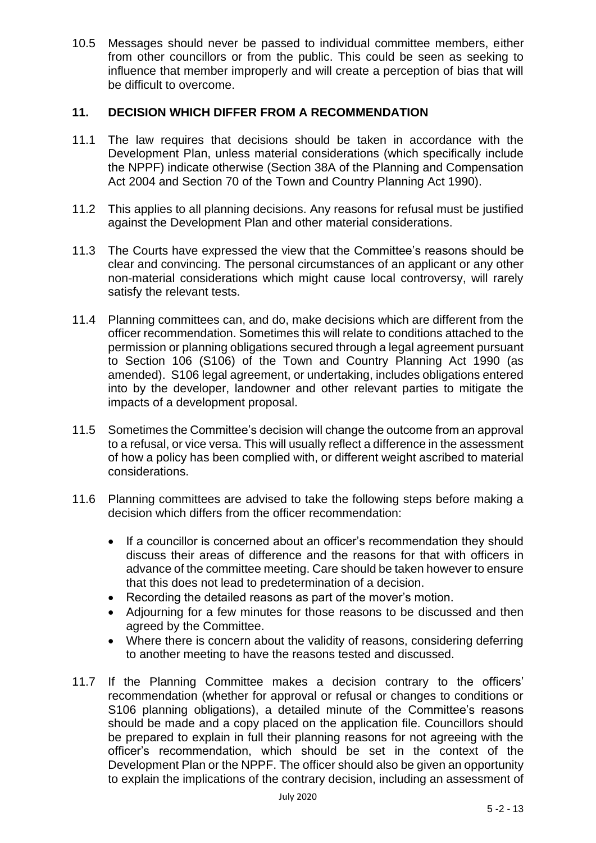10.5 Messages should never be passed to individual committee members, either from other councillors or from the public. This could be seen as seeking to influence that member improperly and will create a perception of bias that will be difficult to overcome.

#### **11. DECISION WHICH DIFFER FROM A RECOMMENDATION**

- 11.1 The law requires that decisions should be taken in accordance with the Development Plan, unless material considerations (which specifically include the NPPF) indicate otherwise (Section 38A of the Planning and Compensation Act 2004 and Section 70 of the Town and Country Planning Act 1990).
- 11.2 This applies to all planning decisions. Any reasons for refusal must be justified against the Development Plan and other material considerations.
- 11.3 The Courts have expressed the view that the Committee's reasons should be clear and convincing. The personal circumstances of an applicant or any other non-material considerations which might cause local controversy, will rarely satisfy the relevant tests.
- 11.4 Planning committees can, and do, make decisions which are different from the officer recommendation. Sometimes this will relate to conditions attached to the permission or planning obligations secured through a legal agreement pursuant to Section 106 (S106) of the Town and Country Planning Act 1990 (as amended). S106 legal agreement, or undertaking, includes obligations entered into by the developer, landowner and other relevant parties to mitigate the impacts of a development proposal.
- 11.5 Sometimes the Committee's decision will change the outcome from an approval to a refusal, or vice versa. This will usually reflect a difference in the assessment of how a policy has been complied with, or different weight ascribed to material considerations.
- 11.6 Planning committees are advised to take the following steps before making a decision which differs from the officer recommendation:
	- If a councillor is concerned about an officer's recommendation they should discuss their areas of difference and the reasons for that with officers in advance of the committee meeting. Care should be taken however to ensure that this does not lead to predetermination of a decision.
	- Recording the detailed reasons as part of the mover's motion.
	- Adjourning for a few minutes for those reasons to be discussed and then agreed by the Committee.
	- Where there is concern about the validity of reasons, considering deferring to another meeting to have the reasons tested and discussed.
- 11.7 If the Planning Committee makes a decision contrary to the officers' recommendation (whether for approval or refusal or changes to conditions or S106 planning obligations), a detailed minute of the Committee's reasons should be made and a copy placed on the application file. Councillors should be prepared to explain in full their planning reasons for not agreeing with the officer's recommendation, which should be set in the context of the Development Plan or the NPPF. The officer should also be given an opportunity to explain the implications of the contrary decision, including an assessment of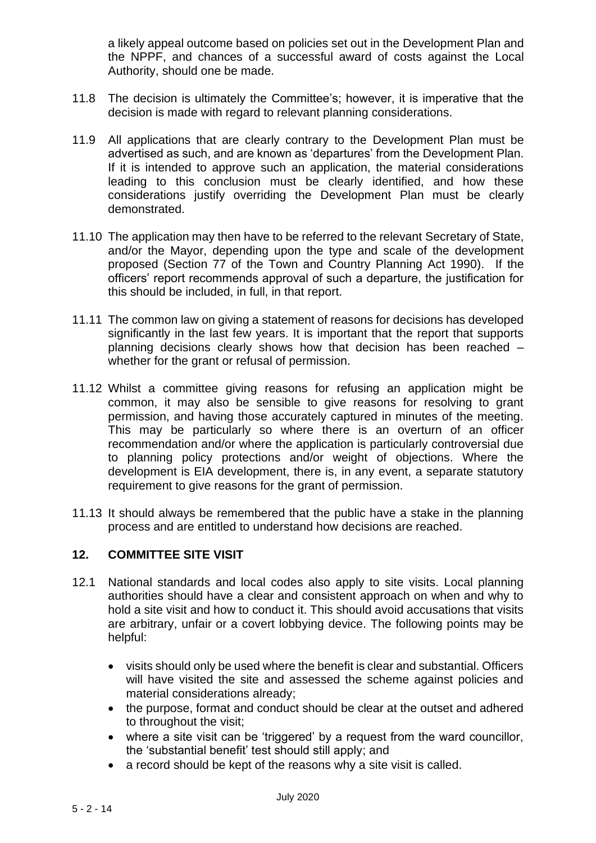a likely appeal outcome based on policies set out in the Development Plan and the NPPF, and chances of a successful award of costs against the Local Authority, should one be made.

- 11.8 The decision is ultimately the Committee's; however, it is imperative that the decision is made with regard to relevant planning considerations.
- 11.9 All applications that are clearly contrary to the Development Plan must be advertised as such, and are known as 'departures' from the Development Plan. If it is intended to approve such an application, the material considerations leading to this conclusion must be clearly identified, and how these considerations justify overriding the Development Plan must be clearly demonstrated.
- 11.10 The application may then have to be referred to the relevant Secretary of State, and/or the Mayor, depending upon the type and scale of the development proposed (Section 77 of the Town and Country Planning Act 1990). If the officers' report recommends approval of such a departure, the justification for this should be included, in full, in that report.
- 11.11 The common law on giving a statement of reasons for decisions has developed significantly in the last few years. It is important that the report that supports planning decisions clearly shows how that decision has been reached – whether for the grant or refusal of permission.
- 11.12 Whilst a committee giving reasons for refusing an application might be common, it may also be sensible to give reasons for resolving to grant permission, and having those accurately captured in minutes of the meeting. This may be particularly so where there is an overturn of an officer recommendation and/or where the application is particularly controversial due to planning policy protections and/or weight of objections. Where the development is EIA development, there is, in any event, a separate statutory requirement to give reasons for the grant of permission.
- 11.13 It should always be remembered that the public have a stake in the planning process and are entitled to understand how decisions are reached.

#### **12. COMMITTEE SITE VISIT**

- 12.1 National standards and local codes also apply to site visits. Local planning authorities should have a clear and consistent approach on when and why to hold a site visit and how to conduct it. This should avoid accusations that visits are arbitrary, unfair or a covert lobbying device. The following points may be helpful:
	- visits should only be used where the benefit is clear and substantial. Officers will have visited the site and assessed the scheme against policies and material considerations already;
	- the purpose, format and conduct should be clear at the outset and adhered to throughout the visit;
	- where a site visit can be 'triggered' by a request from the ward councillor, the 'substantial benefit' test should still apply; and
	- a record should be kept of the reasons why a site visit is called.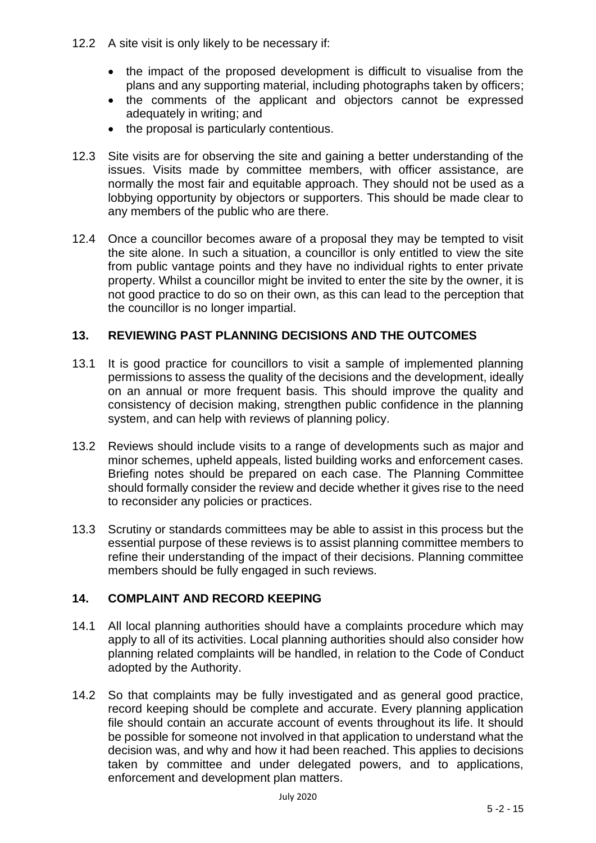- 12.2 A site visit is only likely to be necessary if:
	- the impact of the proposed development is difficult to visualise from the plans and any supporting material, including photographs taken by officers;
	- the comments of the applicant and objectors cannot be expressed adequately in writing; and
	- the proposal is particularly contentious.
- 12.3 Site visits are for observing the site and gaining a better understanding of the issues. Visits made by committee members, with officer assistance, are normally the most fair and equitable approach. They should not be used as a lobbying opportunity by objectors or supporters. This should be made clear to any members of the public who are there.
- 12.4 Once a councillor becomes aware of a proposal they may be tempted to visit the site alone. In such a situation, a councillor is only entitled to view the site from public vantage points and they have no individual rights to enter private property. Whilst a councillor might be invited to enter the site by the owner, it is not good practice to do so on their own, as this can lead to the perception that the councillor is no longer impartial.

## **13. REVIEWING PAST PLANNING DECISIONS AND THE OUTCOMES**

- 13.1 It is good practice for councillors to visit a sample of implemented planning permissions to assess the quality of the decisions and the development, ideally on an annual or more frequent basis. This should improve the quality and consistency of decision making, strengthen public confidence in the planning system, and can help with reviews of planning policy.
- 13.2 Reviews should include visits to a range of developments such as major and minor schemes, upheld appeals, listed building works and enforcement cases. Briefing notes should be prepared on each case. The Planning Committee should formally consider the review and decide whether it gives rise to the need to reconsider any policies or practices.
- 13.3 Scrutiny or standards committees may be able to assist in this process but the essential purpose of these reviews is to assist planning committee members to refine their understanding of the impact of their decisions. Planning committee members should be fully engaged in such reviews.

## **14. COMPLAINT AND RECORD KEEPING**

- 14.1 All local planning authorities should have a complaints procedure which may apply to all of its activities. Local planning authorities should also consider how planning related complaints will be handled, in relation to the Code of Conduct adopted by the Authority.
- 14.2 So that complaints may be fully investigated and as general good practice, record keeping should be complete and accurate. Every planning application file should contain an accurate account of events throughout its life. It should be possible for someone not involved in that application to understand what the decision was, and why and how it had been reached. This applies to decisions taken by committee and under delegated powers, and to applications, enforcement and development plan matters.